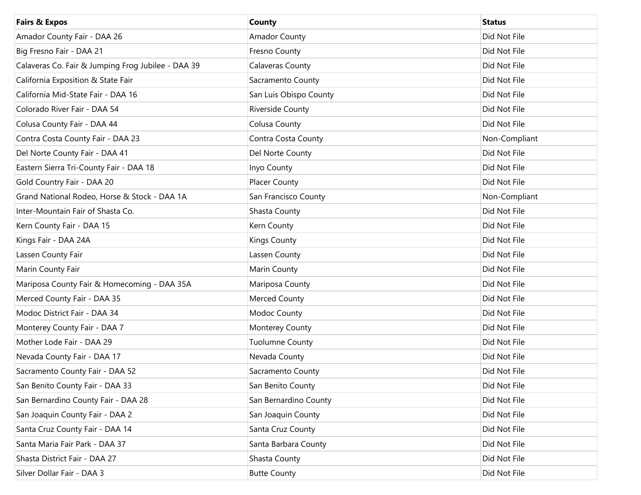| <b>Fairs &amp; Expos</b>                           | County                 | <b>Status</b> |
|----------------------------------------------------|------------------------|---------------|
| Amador County Fair - DAA 26                        | <b>Amador County</b>   | Did Not File  |
| Big Fresno Fair - DAA 21                           | Fresno County          | Did Not File  |
| Calaveras Co. Fair & Jumping Frog Jubilee - DAA 39 | Calaveras County       | Did Not File  |
| California Exposition & State Fair                 | Sacramento County      | Did Not File  |
| California Mid-State Fair - DAA 16                 | San Luis Obispo County | Did Not File  |
| Colorado River Fair - DAA 54                       | Riverside County       | Did Not File  |
| Colusa County Fair - DAA 44                        | Colusa County          | Did Not File  |
| Contra Costa County Fair - DAA 23                  | Contra Costa County    | Non-Compliant |
| Del Norte County Fair - DAA 41                     | Del Norte County       | Did Not File  |
| Eastern Sierra Tri-County Fair - DAA 18            | Inyo County            | Did Not File  |
| Gold Country Fair - DAA 20                         | Placer County          | Did Not File  |
| Grand National Rodeo, Horse & Stock - DAA 1A       | San Francisco County   | Non-Compliant |
| Inter-Mountain Fair of Shasta Co.                  | Shasta County          | Did Not File  |
| Kern County Fair - DAA 15                          | Kern County            | Did Not File  |
| Kings Fair - DAA 24A                               | Kings County           | Did Not File  |
| Lassen County Fair                                 | Lassen County          | Did Not File  |
| Marin County Fair                                  | Marin County           | Did Not File  |
| Mariposa County Fair & Homecoming - DAA 35A        | Mariposa County        | Did Not File  |
| Merced County Fair - DAA 35                        | Merced County          | Did Not File  |
| Modoc District Fair - DAA 34                       | Modoc County           | Did Not File  |
| Monterey County Fair - DAA 7                       | Monterey County        | Did Not File  |
| Mother Lode Fair - DAA 29                          | <b>Tuolumne County</b> | Did Not File  |
| Nevada County Fair - DAA 17                        | Nevada County          | Did Not File  |
| Sacramento County Fair - DAA 52                    | Sacramento County      | Did Not File  |
| San Benito County Fair - DAA 33                    | San Benito County      | Did Not File  |
| San Bernardino County Fair - DAA 28                | San Bernardino County  | Did Not File  |
| San Joaquin County Fair - DAA 2                    | San Joaquin County     | Did Not File  |
| Santa Cruz County Fair - DAA 14                    | Santa Cruz County      | Did Not File  |
| Santa Maria Fair Park - DAA 37                     | Santa Barbara County   | Did Not File  |
| Shasta District Fair - DAA 27                      | Shasta County          | Did Not File  |
| Silver Dollar Fair - DAA 3                         | <b>Butte County</b>    | Did Not File  |